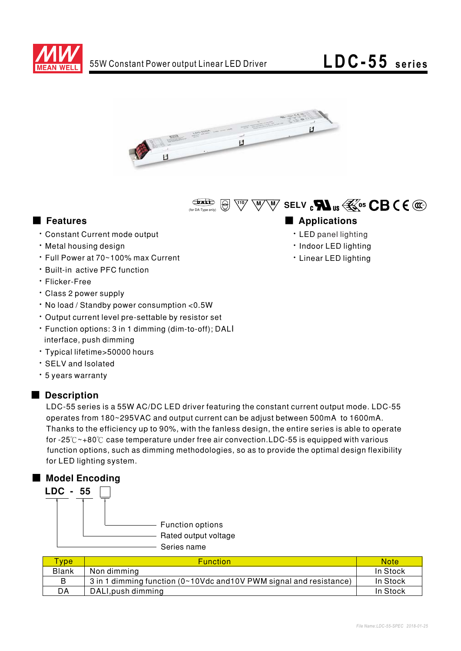





# ■ Features ■ Ap

- · Constant Current mode output
- . Metal housing design
- Full Power at 70~100% max Current
- · Built-in active PFC function
- · Flicker-Free
- Class 2 power supply
- No load / Standby power consumption < 0.5W
- Output current level pre-settable by resistor set
- Function options: 3 in 1 dimming (dim-to-off); DALI interface, push dimming
- \* Typical lifetime>50000 hours
- · SELV and Isolated
- · 5 years warranty

## ■ Description

LDC-55 series is a 55W AC/DC LED driver featuring the constant current output mode. LDC-55 operates from 180~295VAC and output current can be adjust between 500mA to 1600mA. Thanks to the efficiency up to 90%, with the fanless design, the entire series is able to operate for -25 $^\circ\!{\rm C}\!$   $\sim$ +80 $^\circ\!{\rm C}$  case temperature under free air convection.LDC-55 is equipped with various function options, such as dimming methodologies, so as to provide the optimal design flexibility for LED lighting system.

## ■ Model Encoding



- Series name

| <b>Type</b>  | <b>Function</b>                                                     | <b>Note</b> |
|--------------|---------------------------------------------------------------------|-------------|
| <b>Blank</b> | Non dimming                                                         | In Stock    |
| B            | 3 in 1 dimming function (0~10Vdc and 10V PWM signal and resistance) | In Stock    |
| DA           | DALI, push dimming                                                  | In Stock    |

- - · LED panel lighting
	- · Indoor LED lighting
	- · Linear LED lighting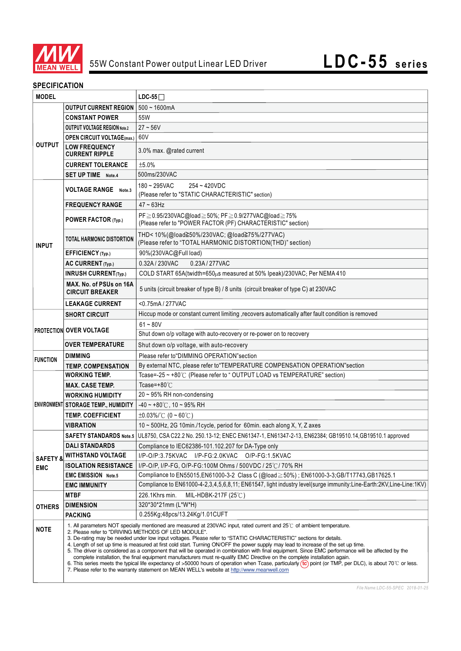

## **SPECIFICATION**

| <b>MODEL</b>        |                                                                                                                                                                                                                                                                                                                                                                                                                                                                                                                                                                                                                                                                                                                                                                                                                                                                                                                                                                                              | $LDC-55$                                                                                                                       |  |
|---------------------|----------------------------------------------------------------------------------------------------------------------------------------------------------------------------------------------------------------------------------------------------------------------------------------------------------------------------------------------------------------------------------------------------------------------------------------------------------------------------------------------------------------------------------------------------------------------------------------------------------------------------------------------------------------------------------------------------------------------------------------------------------------------------------------------------------------------------------------------------------------------------------------------------------------------------------------------------------------------------------------------|--------------------------------------------------------------------------------------------------------------------------------|--|
|                     | <b>OUTPUT CURRENT REGION</b>                                                                                                                                                                                                                                                                                                                                                                                                                                                                                                                                                                                                                                                                                                                                                                                                                                                                                                                                                                 | $500 - 1600$ mA                                                                                                                |  |
|                     | <b>CONSTANT POWER</b>                                                                                                                                                                                                                                                                                                                                                                                                                                                                                                                                                                                                                                                                                                                                                                                                                                                                                                                                                                        | 55W                                                                                                                            |  |
|                     | <b>OUTPUT VOLTAGE REGION Note.2</b>                                                                                                                                                                                                                                                                                                                                                                                                                                                                                                                                                                                                                                                                                                                                                                                                                                                                                                                                                          | $27 - 56V$                                                                                                                     |  |
|                     | <b>OPEN CIRCUIT VOLTAGE(max.)</b> 60V                                                                                                                                                                                                                                                                                                                                                                                                                                                                                                                                                                                                                                                                                                                                                                                                                                                                                                                                                        |                                                                                                                                |  |
| <b>OUTPUT</b>       | <b>LOW FREQUENCY</b><br><b>CURRENT RIPPLE</b>                                                                                                                                                                                                                                                                                                                                                                                                                                                                                                                                                                                                                                                                                                                                                                                                                                                                                                                                                | 3.0% max. @rated current                                                                                                       |  |
|                     | <b>CURRENT TOLERANCE</b>                                                                                                                                                                                                                                                                                                                                                                                                                                                                                                                                                                                                                                                                                                                                                                                                                                                                                                                                                                     | ±5.0%                                                                                                                          |  |
|                     | <b>SET UP TIME</b> Note.4                                                                                                                                                                                                                                                                                                                                                                                                                                                                                                                                                                                                                                                                                                                                                                                                                                                                                                                                                                    | 500ms/230VAC                                                                                                                   |  |
|                     | <b>VOLTAGE RANGE</b> Note.3                                                                                                                                                                                                                                                                                                                                                                                                                                                                                                                                                                                                                                                                                                                                                                                                                                                                                                                                                                  | 254~420VDC<br>$180 - 295$ VAC<br>(Please refer to "STATIC CHARACTERISTIC" section)                                             |  |
|                     | <b>FREQUENCY RANGE</b>                                                                                                                                                                                                                                                                                                                                                                                                                                                                                                                                                                                                                                                                                                                                                                                                                                                                                                                                                                       | $47 - 63$ Hz                                                                                                                   |  |
| <b>INPUT</b>        | POWER FACTOR (Typ.)                                                                                                                                                                                                                                                                                                                                                                                                                                                                                                                                                                                                                                                                                                                                                                                                                                                                                                                                                                          | PF≥0.95/230VAC@load≥50%; PF≥0.9/277VAC@load≥75%<br>(Please refer to "POWER FACTOR (PF) CHARACTERISTIC" section)                |  |
|                     | <b>TOTAL HARMONIC DISTORTION</b>                                                                                                                                                                                                                                                                                                                                                                                                                                                                                                                                                                                                                                                                                                                                                                                                                                                                                                                                                             | THD<10%(@load≧50%/230VAC; @load≧75%/277VAC)<br>(Please refer to "TOTAL HARMONIC DISTORTION(THD)" section)                      |  |
|                     | EFFICIENCY (Typ.)                                                                                                                                                                                                                                                                                                                                                                                                                                                                                                                                                                                                                                                                                                                                                                                                                                                                                                                                                                            | 90%(230VAC@Full load)                                                                                                          |  |
|                     | AC CURRENT (Typ.)                                                                                                                                                                                                                                                                                                                                                                                                                                                                                                                                                                                                                                                                                                                                                                                                                                                                                                                                                                            | 0.32A / 230VAC<br>0.23A / 277VAC                                                                                               |  |
|                     | <b>INRUSH CURRENT(Typ.)</b>                                                                                                                                                                                                                                                                                                                                                                                                                                                                                                                                                                                                                                                                                                                                                                                                                                                                                                                                                                  | COLD START 65A(twidth=650µs measured at 50% Ipeak)/230VAC; Per NEMA 410                                                        |  |
|                     | MAX. No. of PSUs on 16A<br><b>CIRCUIT BREAKER</b>                                                                                                                                                                                                                                                                                                                                                                                                                                                                                                                                                                                                                                                                                                                                                                                                                                                                                                                                            | 5 units (circuit breaker of type B) / 8 units (circuit breaker of type C) at 230VAC                                            |  |
|                     | <b>LEAKAGE CURRENT</b>                                                                                                                                                                                                                                                                                                                                                                                                                                                                                                                                                                                                                                                                                                                                                                                                                                                                                                                                                                       | <0.75mA / 277VAC                                                                                                               |  |
|                     | <b>SHORT CIRCUIT</b>                                                                                                                                                                                                                                                                                                                                                                                                                                                                                                                                                                                                                                                                                                                                                                                                                                                                                                                                                                         | Hiccup mode or constant current limiting , recovers automatically after fault condition is removed                             |  |
|                     | <b>PROTECTION OVER VOLTAGE</b>                                                                                                                                                                                                                                                                                                                                                                                                                                                                                                                                                                                                                                                                                                                                                                                                                                                                                                                                                               | $61 - 80V$                                                                                                                     |  |
|                     |                                                                                                                                                                                                                                                                                                                                                                                                                                                                                                                                                                                                                                                                                                                                                                                                                                                                                                                                                                                              | Shut down o/p voltage with auto-recovery or re-power on to recovery                                                            |  |
|                     | <b>OVER TEMPERATURE</b>                                                                                                                                                                                                                                                                                                                                                                                                                                                                                                                                                                                                                                                                                                                                                                                                                                                                                                                                                                      | Shut down o/p voltage, with auto-recovery                                                                                      |  |
| <b>FUNCTION</b>     | <b>DIMMING</b>                                                                                                                                                                                                                                                                                                                                                                                                                                                                                                                                                                                                                                                                                                                                                                                                                                                                                                                                                                               | Please refer to "DIMMING OPERATION" section                                                                                    |  |
|                     | <b>TEMP. COMPENSATION</b>                                                                                                                                                                                                                                                                                                                                                                                                                                                                                                                                                                                                                                                                                                                                                                                                                                                                                                                                                                    | By external NTC, please refer to "TEMPERATURE COMPENSATION OPERATION"section                                                   |  |
|                     | <b>WORKING TEMP.</b>                                                                                                                                                                                                                                                                                                                                                                                                                                                                                                                                                                                                                                                                                                                                                                                                                                                                                                                                                                         | Tcase=-25 ~ +80°C (Please refer to "OUTPUT LOAD vs TEMPERATURE" section)                                                       |  |
|                     | <b>MAX. CASE TEMP.</b>                                                                                                                                                                                                                                                                                                                                                                                                                                                                                                                                                                                                                                                                                                                                                                                                                                                                                                                                                                       | Tcase=+80 $°C$                                                                                                                 |  |
|                     | <b>WORKING HUMIDITY</b>                                                                                                                                                                                                                                                                                                                                                                                                                                                                                                                                                                                                                                                                                                                                                                                                                                                                                                                                                                      | 20~95% RH non-condensing                                                                                                       |  |
|                     | ENVIRONMENT STORAGE TEMP., HUMIDITY                                                                                                                                                                                                                                                                                                                                                                                                                                                                                                                                                                                                                                                                                                                                                                                                                                                                                                                                                          | $-40 \sim +80^{\circ}$ C, 10 ~ 95% RH                                                                                          |  |
|                     | <b>TEMP. COEFFICIENT</b>                                                                                                                                                                                                                                                                                                                                                                                                                                                                                                                                                                                                                                                                                                                                                                                                                                                                                                                                                                     | $\pm 0.03\%$ (0 ~ 60°C)                                                                                                        |  |
|                     | <b>VIBRATION</b>                                                                                                                                                                                                                                                                                                                                                                                                                                                                                                                                                                                                                                                                                                                                                                                                                                                                                                                                                                             | 10 ~ 500Hz, 2G 10min./1cycle, period for 60min. each along X, Y, Z axes                                                        |  |
|                     |                                                                                                                                                                                                                                                                                                                                                                                                                                                                                                                                                                                                                                                                                                                                                                                                                                                                                                                                                                                              | SAFETY STANDARDS Note.5 UL8750, CSA C22.2 No. 250.13-12; ENEC EN61347-1, EN61347-2-13, EN62384; GB19510.14, GB19510.1 approved |  |
|                     | <b>DALI STANDARDS</b>                                                                                                                                                                                                                                                                                                                                                                                                                                                                                                                                                                                                                                                                                                                                                                                                                                                                                                                                                                        | Compliance to IEC62386-101.102.207 for DA-Type only                                                                            |  |
| <b>SAFETY &amp;</b> | <b>WITHSTAND VOLTAGE</b>                                                                                                                                                                                                                                                                                                                                                                                                                                                                                                                                                                                                                                                                                                                                                                                                                                                                                                                                                                     | $I/P-O/P:3.75KVAC$<br>I/P-FG:2.0KVAC O/P-FG:1.5KVAC                                                                            |  |
| <b>EMC</b>          | <b>ISOLATION RESISTANCE</b>                                                                                                                                                                                                                                                                                                                                                                                                                                                                                                                                                                                                                                                                                                                                                                                                                                                                                                                                                                  | I/P-O/P, I/P-FG, O/P-FG:100M Ohms / 500VDC / 25℃/ 70% RH                                                                       |  |
|                     | <b>EMC EMISSION Note.5</b>                                                                                                                                                                                                                                                                                                                                                                                                                                                                                                                                                                                                                                                                                                                                                                                                                                                                                                                                                                   | Compliance to EN55015,EN61000-3-2 Class C (@load $\geq$ 50%); EN61000-3-3;GB/T17743,GB17625.1                                  |  |
|                     | <b>EMC IMMUNITY</b>                                                                                                                                                                                                                                                                                                                                                                                                                                                                                                                                                                                                                                                                                                                                                                                                                                                                                                                                                                          | Compliance to EN61000-4-2,3,4,5,6,8,11; EN61547, light industry level(surge immunity:Line-Earth:2KV,Line-Line:1KV)             |  |
|                     | <b>MTBF</b>                                                                                                                                                                                                                                                                                                                                                                                                                                                                                                                                                                                                                                                                                                                                                                                                                                                                                                                                                                                  | 226.1Khrs min.<br>MIL-HDBK-217F (25°C)                                                                                         |  |
| <b>OTHERS</b>       | <b>DIMENSION</b>                                                                                                                                                                                                                                                                                                                                                                                                                                                                                                                                                                                                                                                                                                                                                                                                                                                                                                                                                                             | 320*30*21mm (L*W*H)                                                                                                            |  |
|                     | <b>PACKING</b>                                                                                                                                                                                                                                                                                                                                                                                                                                                                                                                                                                                                                                                                                                                                                                                                                                                                                                                                                                               | 0.255Kg;48pcs/13.24Kg/1.01CUFT                                                                                                 |  |
| <b>NOTE</b>         | 1. All parameters NOT specially mentioned are measured at 230VAC input, rated current and 25°C of ambient temperature.<br>2. Please refer to "DRIVING METHODS OF LED MODULE".<br>3. De-rating may be needed under low input voltages. Please refer to "STATIC CHARACTERISTIC" sections for details.<br>4. Length of set up time is measured at first cold start. Turning ON/OFF the power supply may lead to increase of the set up time.<br>5. The driver is considered as a component that will be operated in combination with final equipment. Since EMC performance will be affected by the<br>complete installation, the final equipment manufacturers must re-qualify EMC Directive on the complete installation again.<br>6. This series meets the typical life expectancy of >50000 hours of operation when Tcase, particularly (tc) point (or TMP, per DLC), is about 70°C or less.<br>7. Please refer to the warranty statement on MEAN WELL's website at http://www.meanwell.com |                                                                                                                                |  |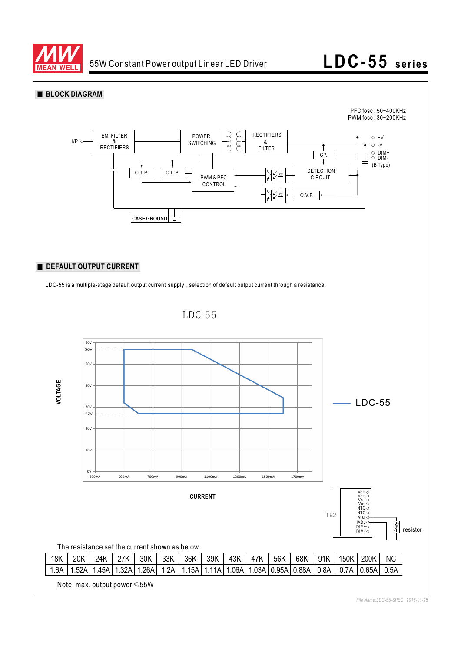

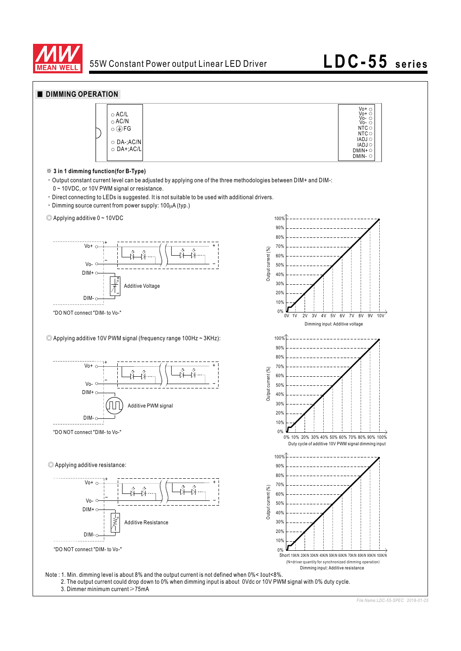

# **LDC-55 series**

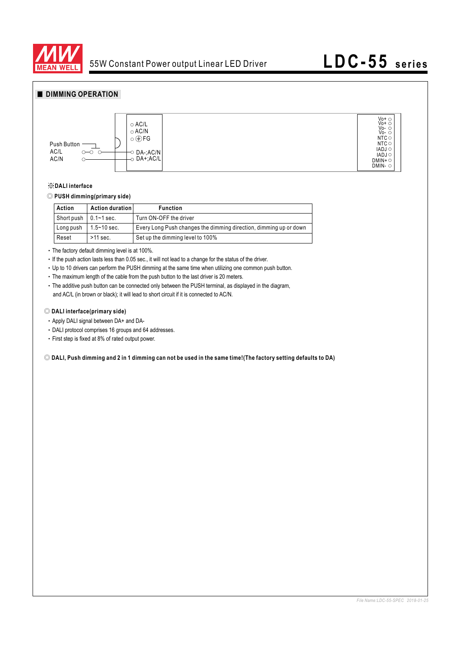



### ※**DALI interface**

## ◎ **PUSH dimming(primary side)**

| Action                        | Action duration | <b>Function</b>                                                   |
|-------------------------------|-----------------|-------------------------------------------------------------------|
| Short push $\vert$ 0.1~1 sec. |                 | Turn ON-OFF the driver                                            |
| Long push                     | l 1.5~10 sec.   | Every Long Push changes the dimming direction, dimming up or down |
| Reset                         | $>11$ sec.      | Set up the dimming level to 100%                                  |

• The factory default dimming level is at 100%.

. If the push action lasts less than 0.05 sec., it will not lead to a change for the status of the driver.

Up to 10 drivers can perform the PUSH dimming at the same time when utilizing one common push button.

The maximum length of the cable from the push button to the last driver is 20 meters.

The additive push button can be connected only between the PUSH terminal, as displayed in the diagram, and AC/L (in brown or black); it will lead to short circuit if it is connected to AC/N.

### ◎ **DALI interface(primary side)**

- Apply DALI signal between DA+ and DA-
- DALI protocol comprises 16 groups and 64 addresses.
- First step is fixed at 8% of rated output power.

◎ **DALI, Push dimming and 2 in 1 dimming can not be used in the same time!(The factory setting defaults to DA)**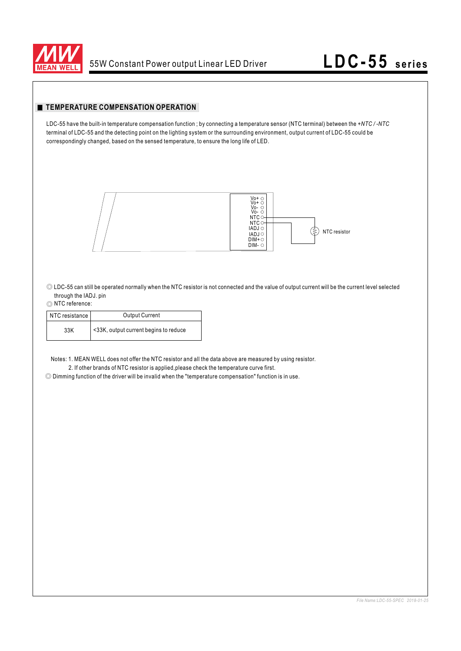

## **TEMPERATURE COMPENSATION OPERATION**

LDC-55 have the built-in temperature compensation function ; by connecting a temperature sensor (NTC terminal) between the *+NTC / -NTC* terminal of LDC-55 and the detecting point on the lighting system or the surrounding environment, output current of LDC-55 could be correspondingly changed, based on the sensed temperature, to ensure the long life of LED.



◎ LDC-55 can still be operated normally when the NTC resistor is not connected and the value of output current will be the current level selected through the IADJ. pin

### ◎ NTC reference:

| NTC resistance | <b>Output Current</b>                 |
|----------------|---------------------------------------|
| 33K            | <33K, output current begins to reduce |

Notes: 1. MEAN WELL does not offer the NTC resistor and all the data above are measured by using resistor. 2. If other brands of NTC resistor is applied,please check the temperature curve first.

◎ Dimming function of the driver will be invalid when the "temperature compensation" function is in use.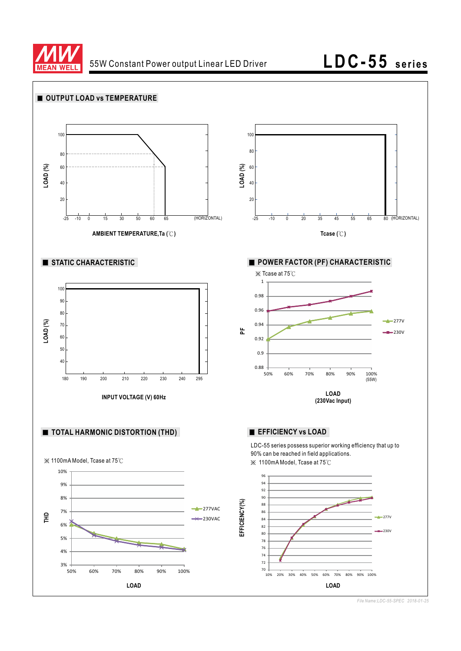

# **LDC-55 series**



*File Name:LDC-55-SPEC 2018-01-25*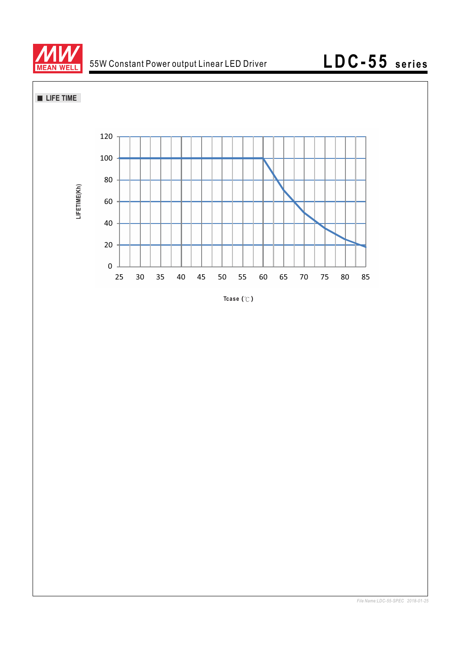





*File Name:LDC-55-SPEC 2018-01-25*